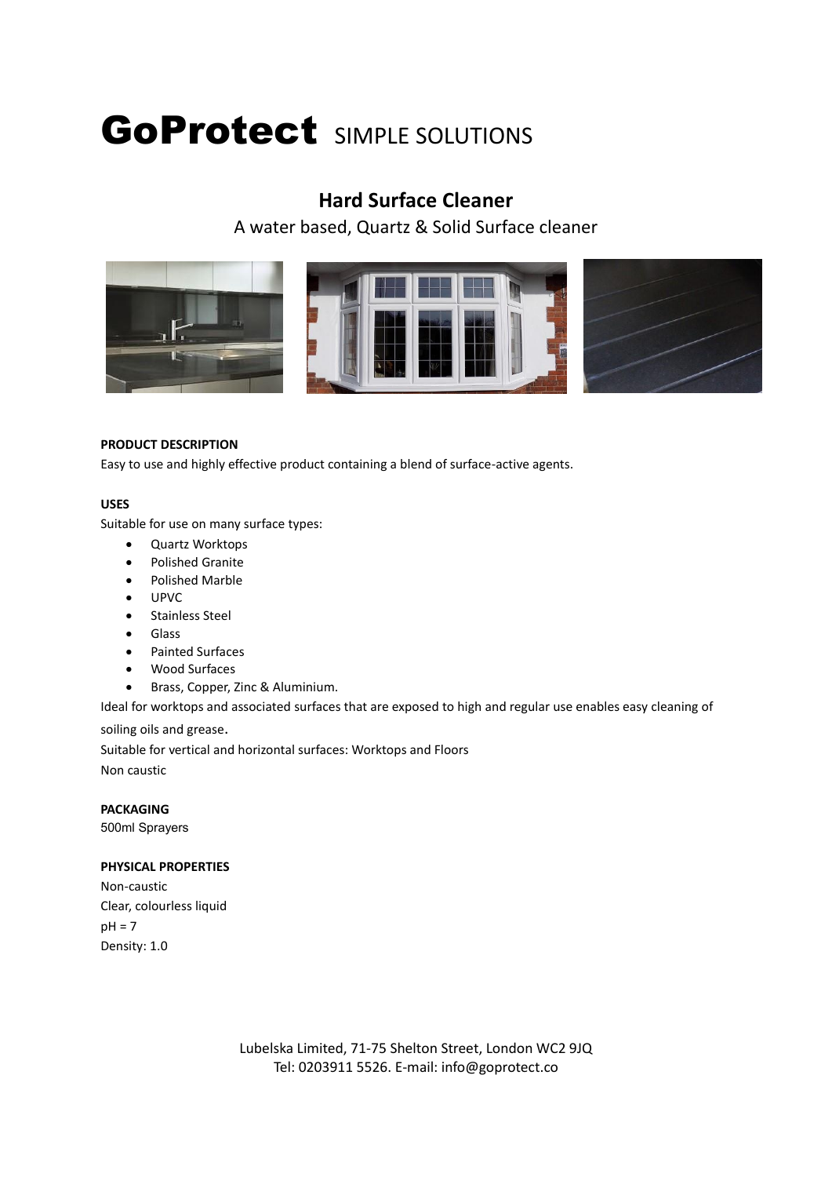# GoProtect SIMPLE SOLUTIONS

# **Hard Surface Cleaner**

A water based, Quartz & Solid Surface cleaner







## **PRODUCT DESCRIPTION**

Easy to use and highly effective product containing a blend of surface-active agents.

## **USES**

Suitable for use on many surface types:

- Quartz Worktops
- **•** Polished Granite
- Polished Marble
- UPVC
- **•** Stainless Steel
- **•** Glass
- Painted Surfaces
- Wood Surfaces
- Brass, Copper, Zinc & Aluminium.

Ideal for worktops and associated surfaces that are exposed to high and regular use enables easy cleaning of soiling oils and grease.

Suitable for vertical and horizontal surfaces: Worktops and Floors Non caustic

**PACKAGING** 500ml Sprayers

## **PHYSICAL PROPERTIES**

Non-caustic Clear, colourless liquid  $pH = 7$ Density: 1.0